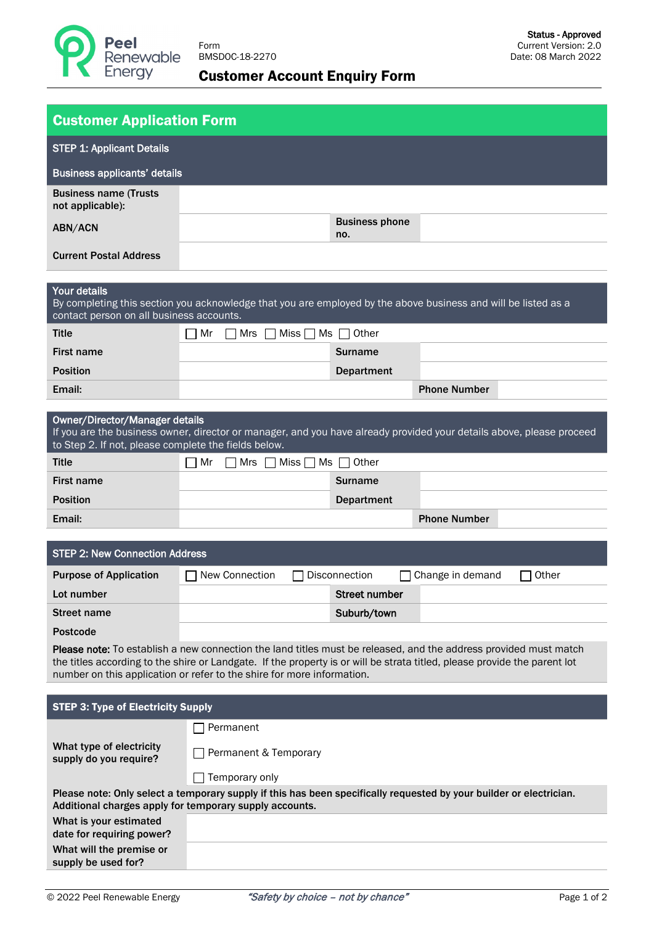

## Customer Account Enquiry Form

| <b>Customer Application Form</b>                                                                                                                                                                                                                                                                                        |                                                                                                                      |                              |                     |       |  |  |  |
|-------------------------------------------------------------------------------------------------------------------------------------------------------------------------------------------------------------------------------------------------------------------------------------------------------------------------|----------------------------------------------------------------------------------------------------------------------|------------------------------|---------------------|-------|--|--|--|
| <b>STEP 1: Applicant Details</b>                                                                                                                                                                                                                                                                                        |                                                                                                                      |                              |                     |       |  |  |  |
| <b>Business applicants' details</b>                                                                                                                                                                                                                                                                                     |                                                                                                                      |                              |                     |       |  |  |  |
| <b>Business name (Trusts</b><br>not applicable):                                                                                                                                                                                                                                                                        |                                                                                                                      |                              |                     |       |  |  |  |
| ABN/ACN                                                                                                                                                                                                                                                                                                                 |                                                                                                                      | <b>Business phone</b><br>no. |                     |       |  |  |  |
| <b>Current Postal Address</b>                                                                                                                                                                                                                                                                                           |                                                                                                                      |                              |                     |       |  |  |  |
| Your details<br>By completing this section you acknowledge that you are employed by the above business and will be listed as a<br>contact person on all business accounts.                                                                                                                                              |                                                                                                                      |                              |                     |       |  |  |  |
| <b>Title</b>                                                                                                                                                                                                                                                                                                            | Mr<br>Mrs                                                                                                            | Miss $\Box$ Ms $\Box$ Other  |                     |       |  |  |  |
| <b>First name</b>                                                                                                                                                                                                                                                                                                       |                                                                                                                      | <b>Surname</b>               |                     |       |  |  |  |
| <b>Position</b>                                                                                                                                                                                                                                                                                                         |                                                                                                                      | <b>Department</b>            |                     |       |  |  |  |
| Email:                                                                                                                                                                                                                                                                                                                  |                                                                                                                      |                              | <b>Phone Number</b> |       |  |  |  |
| <b>Owner/Director/Manager details</b><br>to Step 2. If not, please complete the fields below.                                                                                                                                                                                                                           | If you are the business owner, director or manager, and you have already provided your details above, please proceed |                              |                     |       |  |  |  |
| <b>Title</b>                                                                                                                                                                                                                                                                                                            | Mr<br>Mrs $\Box$ Miss $\Box$ Ms $\Box$ Other<br>$\perp$                                                              |                              |                     |       |  |  |  |
| <b>First name</b>                                                                                                                                                                                                                                                                                                       |                                                                                                                      | <b>Surname</b>               |                     |       |  |  |  |
| <b>Position</b>                                                                                                                                                                                                                                                                                                         |                                                                                                                      | <b>Department</b>            |                     |       |  |  |  |
| Email:                                                                                                                                                                                                                                                                                                                  |                                                                                                                      |                              | <b>Phone Number</b> |       |  |  |  |
| <b>STEP 2: New Connection Address</b>                                                                                                                                                                                                                                                                                   |                                                                                                                      |                              |                     |       |  |  |  |
| <b>Purpose of Application</b>                                                                                                                                                                                                                                                                                           | New Connection                                                                                                       | Disconnection                | Change in demand    | Other |  |  |  |
| Lot number                                                                                                                                                                                                                                                                                                              |                                                                                                                      | <b>Street number</b>         |                     |       |  |  |  |
| <b>Street name</b>                                                                                                                                                                                                                                                                                                      |                                                                                                                      | Suburb/town                  |                     |       |  |  |  |
| <b>Postcode</b>                                                                                                                                                                                                                                                                                                         |                                                                                                                      |                              |                     |       |  |  |  |
| Please note: To establish a new connection the land titles must be released, and the address provided must match<br>the titles according to the shire or Landgate. If the property is or will be strata titled, please provide the parent lot<br>number on this application or refer to the shire for more information. |                                                                                                                      |                              |                     |       |  |  |  |
| <b>STEP 3: Type of Electricity Supply</b>                                                                                                                                                                                                                                                                               |                                                                                                                      |                              |                     |       |  |  |  |
|                                                                                                                                                                                                                                                                                                                         | Permanent                                                                                                            |                              |                     |       |  |  |  |
| What type of electricity<br>supply do you require?                                                                                                                                                                                                                                                                      | Permanent & Temporary                                                                                                |                              |                     |       |  |  |  |
|                                                                                                                                                                                                                                                                                                                         | Temporary only                                                                                                       |                              |                     |       |  |  |  |
| Please note: Only select a temporary supply if this has been specifically requested by your builder or electrician.<br>Additional charges apply for temporary supply accounts.                                                                                                                                          |                                                                                                                      |                              |                     |       |  |  |  |
| What is your estimated<br>date for requiring power?                                                                                                                                                                                                                                                                     |                                                                                                                      |                              |                     |       |  |  |  |
| What will the premise or<br>supply be used for?                                                                                                                                                                                                                                                                         |                                                                                                                      |                              |                     |       |  |  |  |